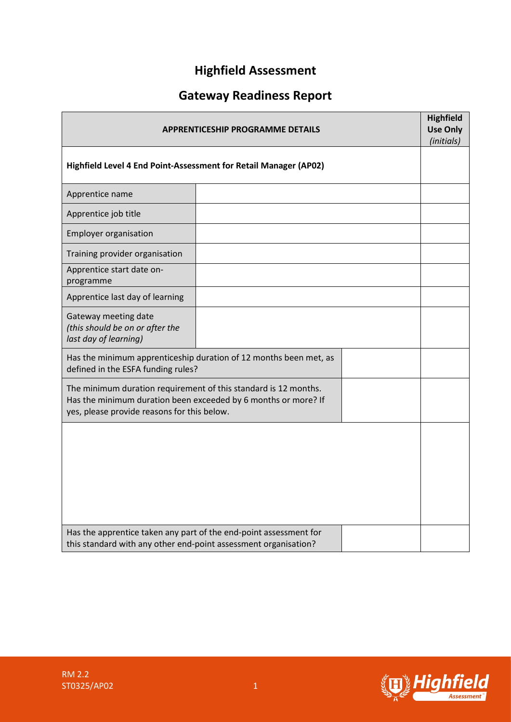# **Highfield Assessment**

# **Gateway Readiness Report**

| <b>APPRENTICESHIP PROGRAMME DETAILS</b>                                                                                                                                          |  |  | <b>Highfield</b><br><b>Use Only</b><br>(initials) |
|----------------------------------------------------------------------------------------------------------------------------------------------------------------------------------|--|--|---------------------------------------------------|
| Highfield Level 4 End Point-Assessment for Retail Manager (AP02)                                                                                                                 |  |  |                                                   |
| Apprentice name                                                                                                                                                                  |  |  |                                                   |
| Apprentice job title                                                                                                                                                             |  |  |                                                   |
| <b>Employer organisation</b>                                                                                                                                                     |  |  |                                                   |
| Training provider organisation                                                                                                                                                   |  |  |                                                   |
| Apprentice start date on-<br>programme                                                                                                                                           |  |  |                                                   |
| Apprentice last day of learning                                                                                                                                                  |  |  |                                                   |
| Gateway meeting date<br>(this should be on or after the<br>last day of learning)                                                                                                 |  |  |                                                   |
| Has the minimum apprenticeship duration of 12 months been met, as<br>defined in the ESFA funding rules?                                                                          |  |  |                                                   |
| The minimum duration requirement of this standard is 12 months.<br>Has the minimum duration been exceeded by 6 months or more? If<br>yes, please provide reasons for this below. |  |  |                                                   |
|                                                                                                                                                                                  |  |  |                                                   |
|                                                                                                                                                                                  |  |  |                                                   |
|                                                                                                                                                                                  |  |  |                                                   |
| Has the apprentice taken any part of the end-point assessment for<br>this standard with any other end-point assessment organisation?                                             |  |  |                                                   |

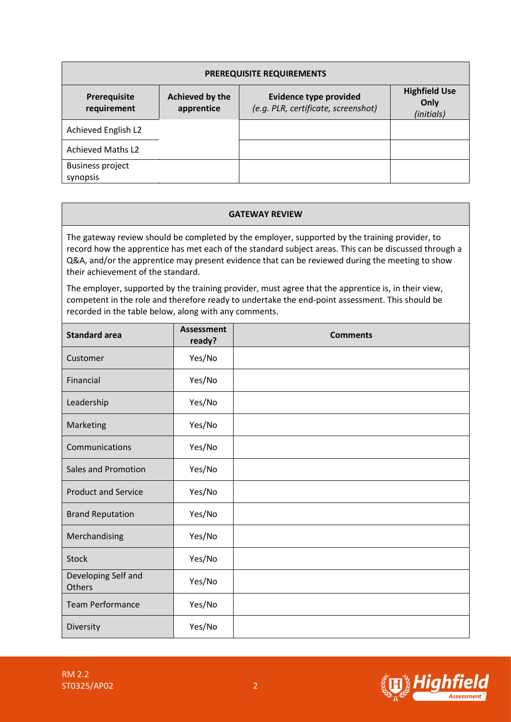| <b>PREREQUISITE REQUIREMENTS</b>    |                               |                                                                      |                                            |  |  |  |
|-------------------------------------|-------------------------------|----------------------------------------------------------------------|--------------------------------------------|--|--|--|
| Prerequisite<br>requirement         | Achieved by the<br>apprentice | <b>Evidence type provided</b><br>(e.g. PLR, certificate, screenshot) | <b>Highfield Use</b><br>Only<br>(initials) |  |  |  |
| Achieved English L2                 |                               |                                                                      |                                            |  |  |  |
| <b>Achieved Maths L2</b>            |                               |                                                                      |                                            |  |  |  |
| <b>Business project</b><br>synopsis |                               |                                                                      |                                            |  |  |  |

#### **GATEWAY REVIEW**

The gateway review should be completed by the employer, supported by the training provider, to record how the apprentice has met each of the standard subject areas. This can be discussed through a Q&A, and/or the apprentice may present evidence that can be reviewed during the meeting to show their achievement of the standard.

The employer, supported by the training provider, must agree that the apprentice is, in their view, competent in the role and therefore ready to undertake the end-point assessment. This should be recorded in the table below, along with any comments.

| <b>Standard area</b>          | <b>Assessment</b><br>ready? | <b>Comments</b> |
|-------------------------------|-----------------------------|-----------------|
| Customer                      | Yes/No                      |                 |
| Financial                     | Yes/No                      |                 |
| Leadership                    | Yes/No                      |                 |
| Marketing                     | Yes/No                      |                 |
| Communications                | Yes/No                      |                 |
| Sales and Promotion           | Yes/No                      |                 |
| <b>Product and Service</b>    | Yes/No                      |                 |
| <b>Brand Reputation</b>       | Yes/No                      |                 |
| Merchandising                 | Yes/No                      |                 |
| Stock                         | Yes/No                      |                 |
| Developing Self and<br>Others | Yes/No                      |                 |
| <b>Team Performance</b>       | Yes/No                      |                 |
| Diversity                     | Yes/No                      |                 |

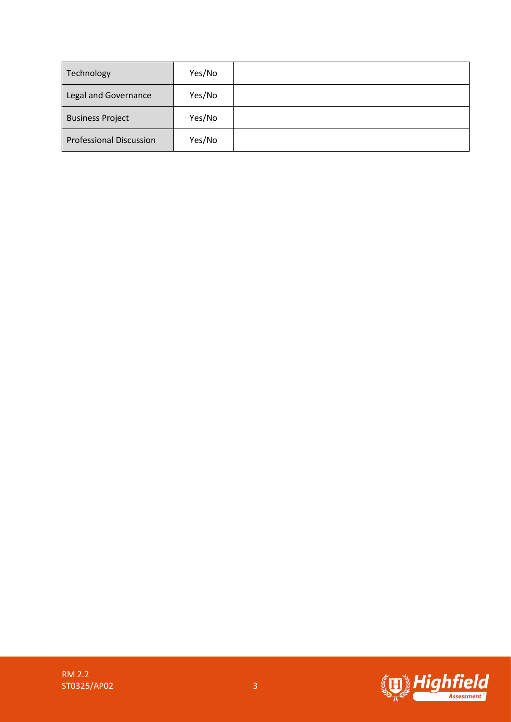| Technology                     | Yes/No |  |
|--------------------------------|--------|--|
| Legal and Governance           | Yes/No |  |
| <b>Business Project</b>        | Yes/No |  |
| <b>Professional Discussion</b> | Yes/No |  |